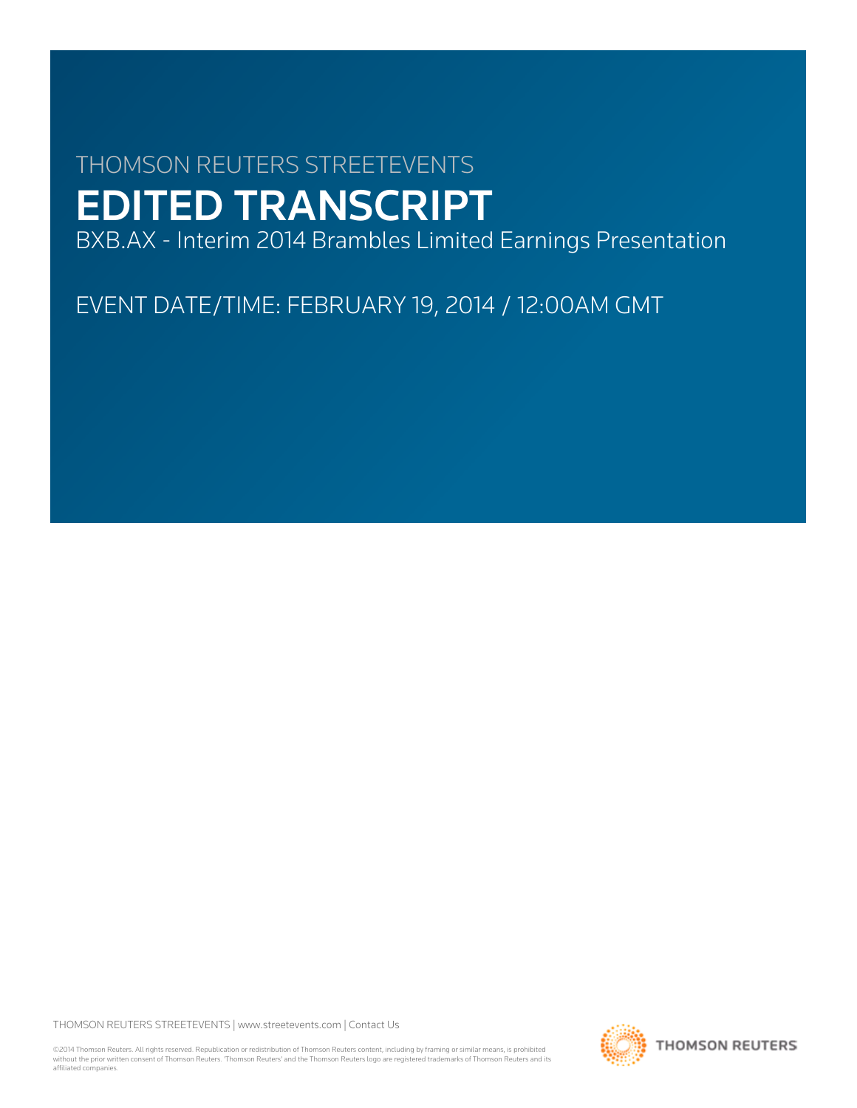# THOMSON REUTERS STREETEVENTS EDITED TRANSCRIPT

BXB.AX - Interim 2014 Brambles Limited Earnings Presentation

EVENT DATE/TIME: FEBRUARY 19, 2014 / 12:00AM GMT

THOMSON REUTERS STREETEVENTS | [www.streetevents.com](http://www.streetevents.com) | [Contact Us](http://www010.streetevents.com/contact.asp)

©2014 Thomson Reuters. All rights reserved. Republication or redistribution of Thomson Reuters content, including by framing or similar means, is prohibited without the prior written consent of Thomson Reuters. 'Thomson Reuters' and the Thomson Reuters logo are registered trademarks of Thomson Reuters and its affiliated companies.

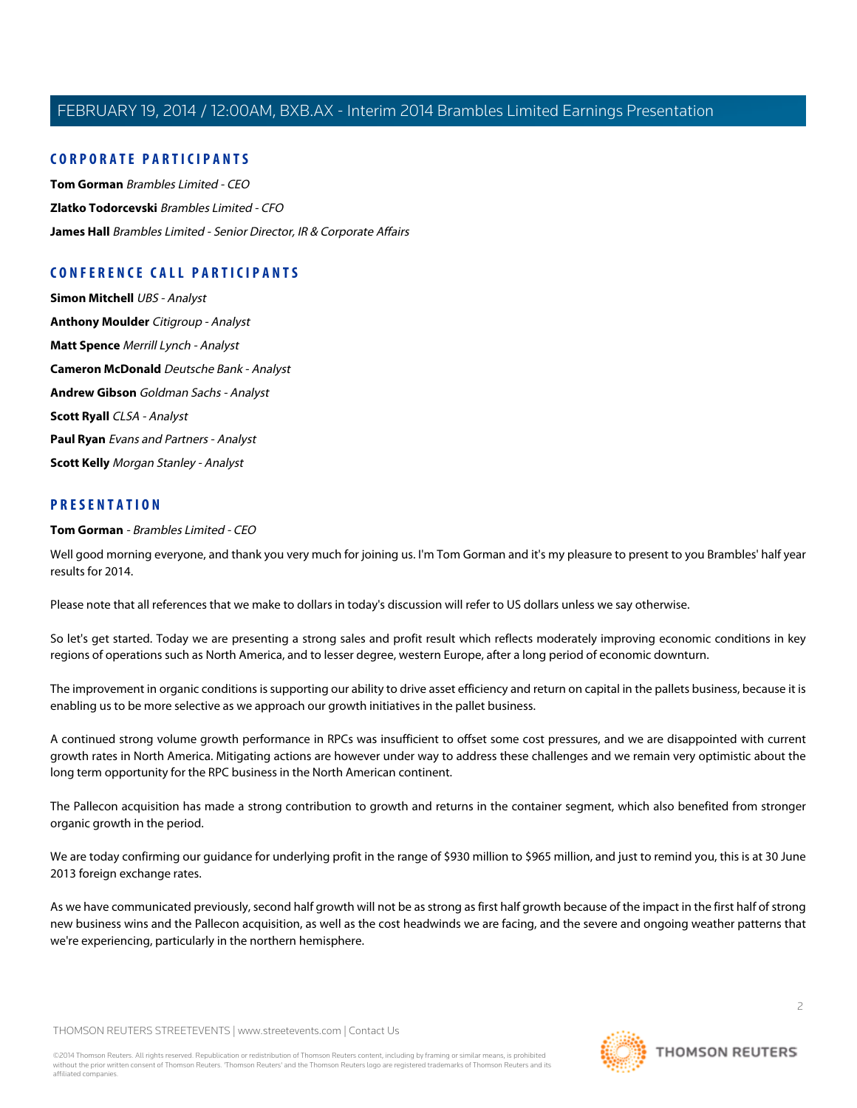## **CORPORATE PARTICIPANTS**

**[Tom Gorman](#page-1-0)** Brambles Limited - CEO **[Zlatko Todorcevski](#page-5-0)** Brambles Limited - CFO **[James Hall](#page-7-0)** Brambles Limited - Senior Director, IR & Corporate Affairs

## **CONFERENCE CALL PARTICIPANTS**

**[Simon Mitchell](#page-7-1)** UBS - Analyst **[Anthony Moulder](#page-9-0)** Citigroup - Analyst **[Matt Spence](#page-10-0)** Merrill Lynch - Analyst **[Cameron McDonald](#page-11-0)** Deutsche Bank - Analyst **[Andrew Gibson](#page-12-0)** Goldman Sachs - Analyst **[Scott Ryall](#page-13-0)** CLSA - Analyst **[Paul Ryan](#page-14-0)** Evans and Partners - Analyst **[Scott Kelly](#page-15-0)** Morgan Stanley - Analyst

#### <span id="page-1-0"></span>**PRESENTATION**

#### **Tom Gorman** - Brambles Limited - CEO

Well good morning everyone, and thank you very much for joining us. I'm Tom Gorman and it's my pleasure to present to you Brambles' half year results for 2014.

Please note that all references that we make to dollars in today's discussion will refer to US dollars unless we say otherwise.

So let's get started. Today we are presenting a strong sales and profit result which reflects moderately improving economic conditions in key regions of operations such as North America, and to lesser degree, western Europe, after a long period of economic downturn.

The improvement in organic conditions is supporting our ability to drive asset efficiency and return on capital in the pallets business, because it is enabling us to be more selective as we approach our growth initiatives in the pallet business.

A continued strong volume growth performance in RPCs was insufficient to offset some cost pressures, and we are disappointed with current growth rates in North America. Mitigating actions are however under way to address these challenges and we remain very optimistic about the long term opportunity for the RPC business in the North American continent.

The Pallecon acquisition has made a strong contribution to growth and returns in the container segment, which also benefited from stronger organic growth in the period.

We are today confirming our guidance for underlying profit in the range of \$930 million to \$965 million, and just to remind you, this is at 30 June 2013 foreign exchange rates.

As we have communicated previously, second half growth will not be as strong as first half growth because of the impact in the first half of strong new business wins and the Pallecon acquisition, as well as the cost headwinds we are facing, and the severe and ongoing weather patterns that we're experiencing, particularly in the northern hemisphere.

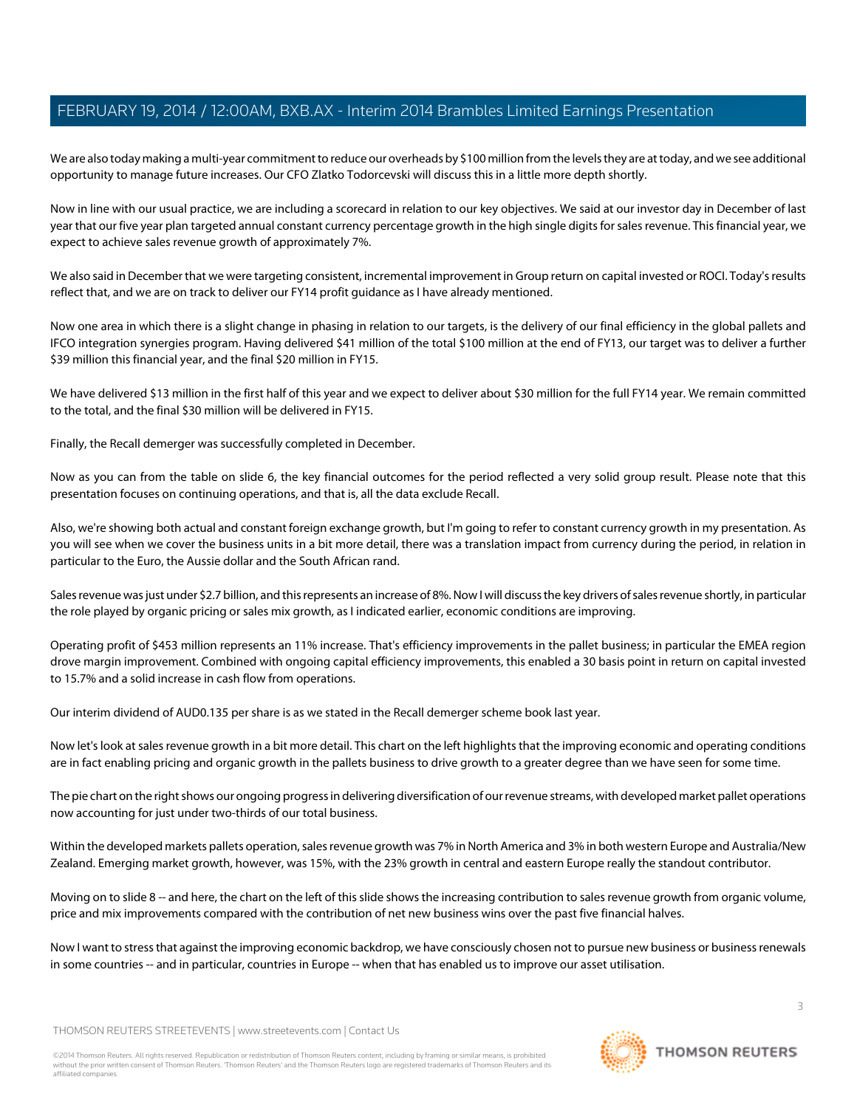We are also today making a multi-year commitment to reduce our overheads by \$100 million from the levels they are at today, and we see additional opportunity to manage future increases. Our CFO Zlatko Todorcevski will discuss this in a little more depth shortly.

Now in line with our usual practice, we are including a scorecard in relation to our key objectives. We said at our investor day in December of last year that our five year plan targeted annual constant currency percentage growth in the high single digits for sales revenue. This financial year, we expect to achieve sales revenue growth of approximately 7%.

We also said in December that we were targeting consistent, incremental improvement in Group return on capital invested or ROCI. Today's results reflect that, and we are on track to deliver our FY14 profit guidance as I have already mentioned.

Now one area in which there is a slight change in phasing in relation to our targets, is the delivery of our final efficiency in the global pallets and IFCO integration synergies program. Having delivered \$41 million of the total \$100 million at the end of FY13, our target was to deliver a further \$39 million this financial year, and the final \$20 million in FY15.

We have delivered \$13 million in the first half of this year and we expect to deliver about \$30 million for the full FY14 year. We remain committed to the total, and the final \$30 million will be delivered in FY15.

Finally, the Recall demerger was successfully completed in December.

Now as you can from the table on slide 6, the key financial outcomes for the period reflected a very solid group result. Please note that this presentation focuses on continuing operations, and that is, all the data exclude Recall.

Also, we're showing both actual and constant foreign exchange growth, but I'm going to refer to constant currency growth in my presentation. As you will see when we cover the business units in a bit more detail, there was a translation impact from currency during the period, in relation in particular to the Euro, the Aussie dollar and the South African rand.

Sales revenue was just under \$2.7 billion, and this represents an increase of 8%. Now I will discuss the key drivers of sales revenue shortly, in particular the role played by organic pricing or sales mix growth, as I indicated earlier, economic conditions are improving.

Operating profit of \$453 million represents an 11% increase. That's efficiency improvements in the pallet business; in particular the EMEA region drove margin improvement. Combined with ongoing capital efficiency improvements, this enabled a 30 basis point in return on capital invested to 15.7% and a solid increase in cash flow from operations.

Our interim dividend of AUD0.135 per share is as we stated in the Recall demerger scheme book last year.

Now let's look at sales revenue growth in a bit more detail. This chart on the left highlights that the improving economic and operating conditions are in fact enabling pricing and organic growth in the pallets business to drive growth to a greater degree than we have seen for some time.

The pie chart on the right shows our ongoing progress in delivering diversification of our revenue streams, with developed market pallet operations now accounting for just under two-thirds of our total business.

Within the developed markets pallets operation, sales revenue growth was 7% in North America and 3% in both western Europe and Australia/New Zealand. Emerging market growth, however, was 15%, with the 23% growth in central and eastern Europe really the standout contributor.

Moving on to slide 8 -- and here, the chart on the left of this slide shows the increasing contribution to sales revenue growth from organic volume, price and mix improvements compared with the contribution of net new business wins over the past five financial halves.

Now I want to stress that against the improving economic backdrop, we have consciously chosen not to pursue new business or business renewals in some countries -- and in particular, countries in Europe -- when that has enabled us to improve our asset utilisation.

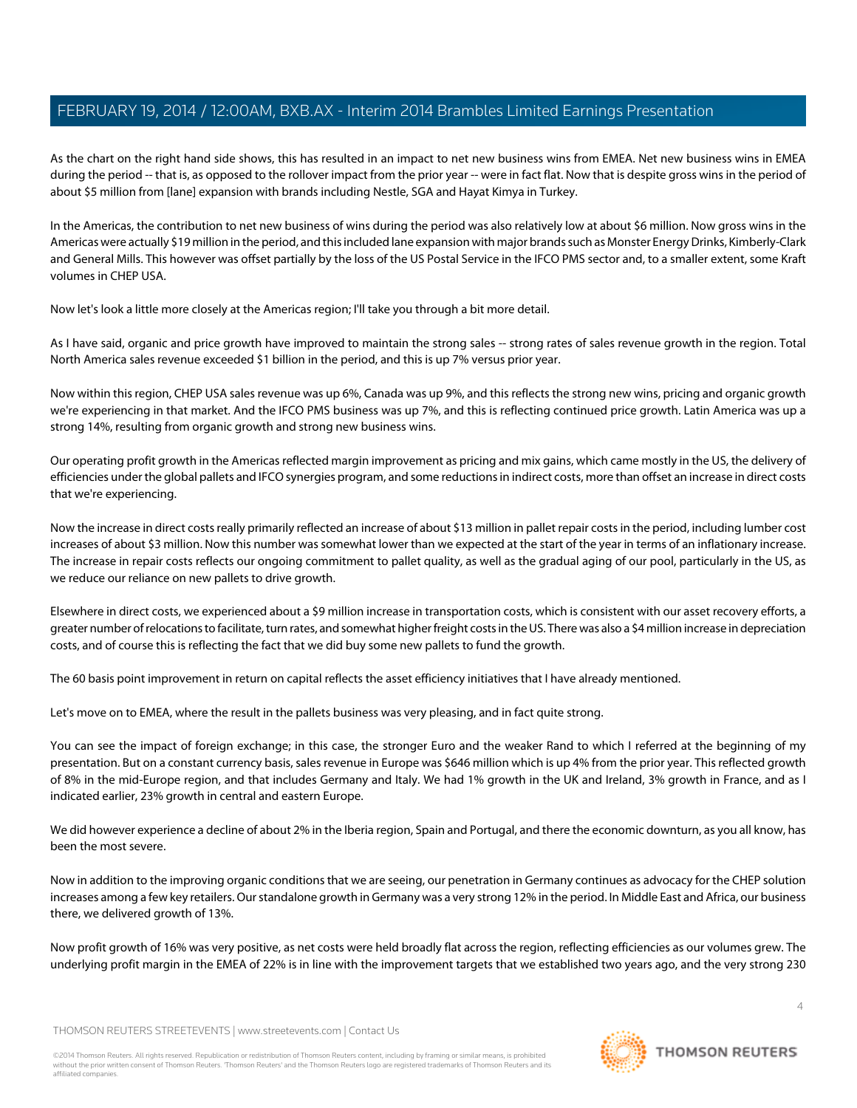As the chart on the right hand side shows, this has resulted in an impact to net new business wins from EMEA. Net new business wins in EMEA during the period -- that is, as opposed to the rollover impact from the prior year -- were in fact flat. Now that is despite gross wins in the period of about \$5 million from [lane] expansion with brands including Nestle, SGA and Hayat Kimya in Turkey.

In the Americas, the contribution to net new business of wins during the period was also relatively low at about \$6 million. Now gross wins in the Americas were actually \$19 million in the period, and this included lane expansion with major brands such as Monster Energy Drinks, Kimberly-Clark and General Mills. This however was offset partially by the loss of the US Postal Service in the IFCO PMS sector and, to a smaller extent, some Kraft volumes in CHEP USA.

Now let's look a little more closely at the Americas region; I'll take you through a bit more detail.

As I have said, organic and price growth have improved to maintain the strong sales -- strong rates of sales revenue growth in the region. Total North America sales revenue exceeded \$1 billion in the period, and this is up 7% versus prior year.

Now within this region, CHEP USA sales revenue was up 6%, Canada was up 9%, and this reflects the strong new wins, pricing and organic growth we're experiencing in that market. And the IFCO PMS business was up 7%, and this is reflecting continued price growth. Latin America was up a strong 14%, resulting from organic growth and strong new business wins.

Our operating profit growth in the Americas reflected margin improvement as pricing and mix gains, which came mostly in the US, the delivery of efficiencies under the global pallets and IFCO synergies program, and some reductions in indirect costs, more than offset an increase in direct costs that we're experiencing.

Now the increase in direct costs really primarily reflected an increase of about \$13 million in pallet repair costs in the period, including lumber cost increases of about \$3 million. Now this number was somewhat lower than we expected at the start of the year in terms of an inflationary increase. The increase in repair costs reflects our ongoing commitment to pallet quality, as well as the gradual aging of our pool, particularly in the US, as we reduce our reliance on new pallets to drive growth.

Elsewhere in direct costs, we experienced about a \$9 million increase in transportation costs, which is consistent with our asset recovery efforts, a greater number of relocations to facilitate, turn rates, and somewhat higher freight costs in the US. There was also a \$4 million increase in depreciation costs, and of course this is reflecting the fact that we did buy some new pallets to fund the growth.

The 60 basis point improvement in return on capital reflects the asset efficiency initiatives that I have already mentioned.

Let's move on to EMEA, where the result in the pallets business was very pleasing, and in fact quite strong.

You can see the impact of foreign exchange; in this case, the stronger Euro and the weaker Rand to which I referred at the beginning of my presentation. But on a constant currency basis, sales revenue in Europe was \$646 million which is up 4% from the prior year. This reflected growth of 8% in the mid-Europe region, and that includes Germany and Italy. We had 1% growth in the UK and Ireland, 3% growth in France, and as I indicated earlier, 23% growth in central and eastern Europe.

We did however experience a decline of about 2% in the Iberia region, Spain and Portugal, and there the economic downturn, as you all know, has been the most severe.

Now in addition to the improving organic conditions that we are seeing, our penetration in Germany continues as advocacy for the CHEP solution increases among a few key retailers. Our standalone growth in Germany was a very strong 12% in the period. In Middle East and Africa, our business there, we delivered growth of 13%.

Now profit growth of 16% was very positive, as net costs were held broadly flat across the region, reflecting efficiencies as our volumes grew. The underlying profit margin in the EMEA of 22% is in line with the improvement targets that we established two years ago, and the very strong 230

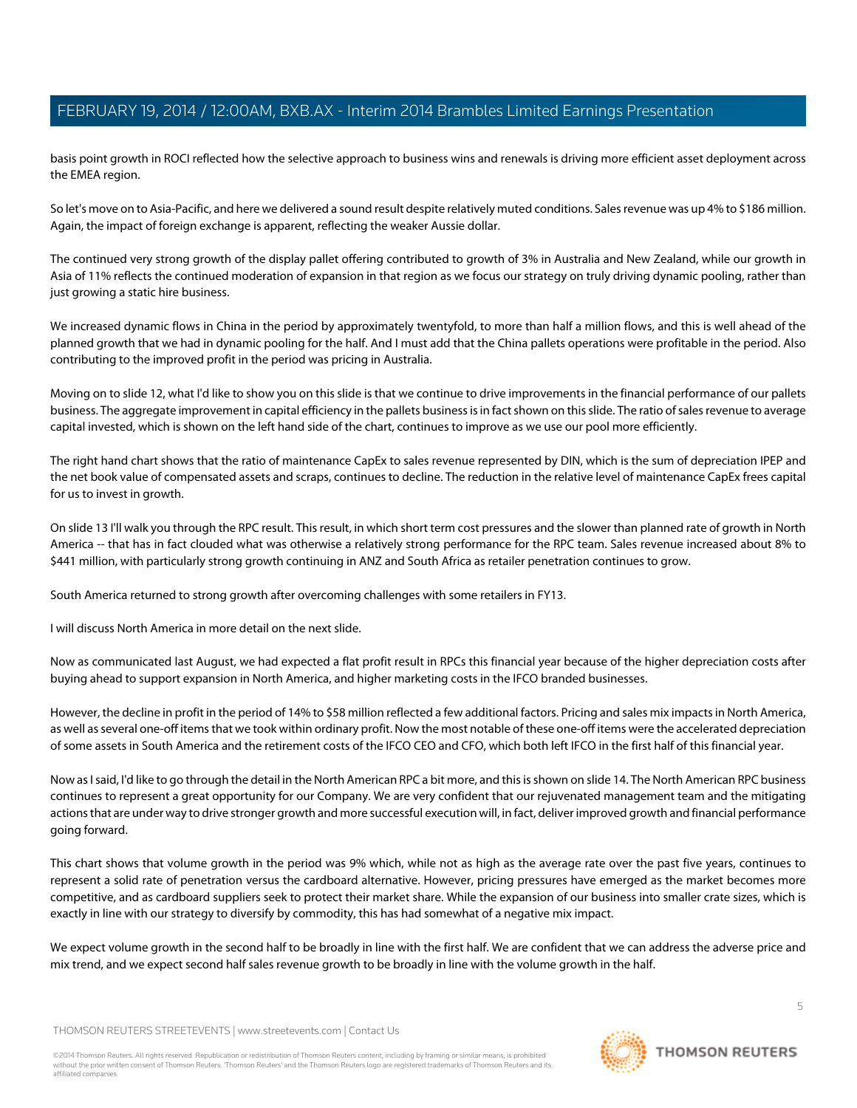basis point growth in ROCI reflected how the selective approach to business wins and renewals is driving more efficient asset deployment across the EMEA region.

So let's move on to Asia-Pacific, and here we delivered a sound result despite relatively muted conditions. Sales revenue was up 4% to \$186 million. Again, the impact of foreign exchange is apparent, reflecting the weaker Aussie dollar.

The continued very strong growth of the display pallet offering contributed to growth of 3% in Australia and New Zealand, while our growth in Asia of 11% reflects the continued moderation of expansion in that region as we focus our strategy on truly driving dynamic pooling, rather than just growing a static hire business.

We increased dynamic flows in China in the period by approximately twentyfold, to more than half a million flows, and this is well ahead of the planned growth that we had in dynamic pooling for the half. And I must add that the China pallets operations were profitable in the period. Also contributing to the improved profit in the period was pricing in Australia.

Moving on to slide 12, what I'd like to show you on this slide is that we continue to drive improvements in the financial performance of our pallets business. The aggregate improvement in capital efficiency in the pallets business is in fact shown on this slide. The ratio of sales revenue to average capital invested, which is shown on the left hand side of the chart, continues to improve as we use our pool more efficiently.

The right hand chart shows that the ratio of maintenance CapEx to sales revenue represented by DIN, which is the sum of depreciation IPEP and the net book value of compensated assets and scraps, continues to decline. The reduction in the relative level of maintenance CapEx frees capital for us to invest in growth.

On slide 13 I'll walk you through the RPC result. This result, in which short term cost pressures and the slower than planned rate of growth in North America -- that has in fact clouded what was otherwise a relatively strong performance for the RPC team. Sales revenue increased about 8% to \$441 million, with particularly strong growth continuing in ANZ and South Africa as retailer penetration continues to grow.

South America returned to strong growth after overcoming challenges with some retailers in FY13.

I will discuss North America in more detail on the next slide.

Now as communicated last August, we had expected a flat profit result in RPCs this financial year because of the higher depreciation costs after buying ahead to support expansion in North America, and higher marketing costs in the IFCO branded businesses.

However, the decline in profit in the period of 14% to \$58 million reflected a few additional factors. Pricing and sales mix impacts in North America, as well as several one-off items that we took within ordinary profit. Now the most notable of these one-off items were the accelerated depreciation of some assets in South America and the retirement costs of the IFCO CEO and CFO, which both left IFCO in the first half of this financial year.

Now as I said, I'd like to go through the detail in the North American RPC a bit more, and this is shown on slide 14. The North American RPC business continues to represent a great opportunity for our Company. We are very confident that our rejuvenated management team and the mitigating actions that are under way to drive stronger growth and more successful execution will, in fact, deliver improved growth and financial performance going forward.

This chart shows that volume growth in the period was 9% which, while not as high as the average rate over the past five years, continues to represent a solid rate of penetration versus the cardboard alternative. However, pricing pressures have emerged as the market becomes more competitive, and as cardboard suppliers seek to protect their market share. While the expansion of our business into smaller crate sizes, which is exactly in line with our strategy to diversify by commodity, this has had somewhat of a negative mix impact.

We expect volume growth in the second half to be broadly in line with the first half. We are confident that we can address the adverse price and mix trend, and we expect second half sales revenue growth to be broadly in line with the volume growth in the half.

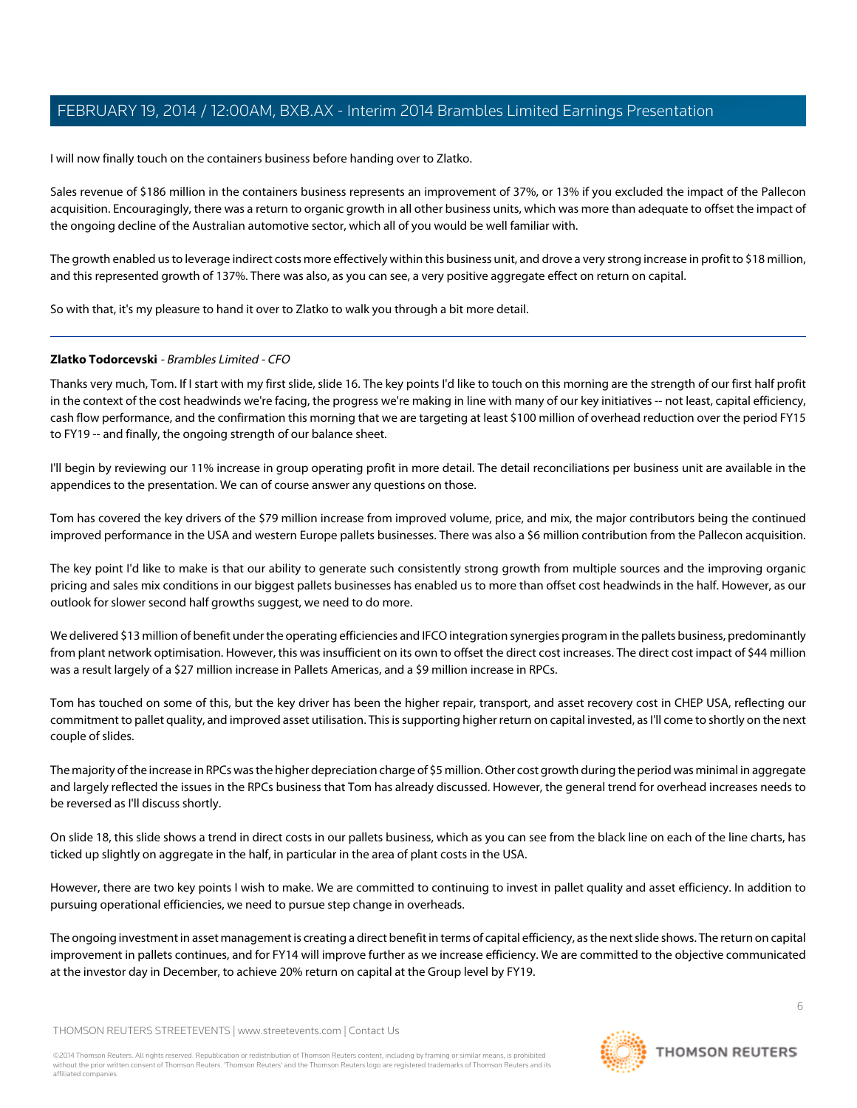I will now finally touch on the containers business before handing over to Zlatko.

Sales revenue of \$186 million in the containers business represents an improvement of 37%, or 13% if you excluded the impact of the Pallecon acquisition. Encouragingly, there was a return to organic growth in all other business units, which was more than adequate to offset the impact of the ongoing decline of the Australian automotive sector, which all of you would be well familiar with.

The growth enabled us to leverage indirect costs more effectively within this business unit, and drove a very strong increase in profit to \$18 million, and this represented growth of 137%. There was also, as you can see, a very positive aggregate effect on return on capital.

<span id="page-5-0"></span>So with that, it's my pleasure to hand it over to Zlatko to walk you through a bit more detail.

#### **Zlatko Todorcevski** - Brambles Limited - CFO

Thanks very much, Tom. If I start with my first slide, slide 16. The key points I'd like to touch on this morning are the strength of our first half profit in the context of the cost headwinds we're facing, the progress we're making in line with many of our key initiatives -- not least, capital efficiency, cash flow performance, and the confirmation this morning that we are targeting at least \$100 million of overhead reduction over the period FY15 to FY19 -- and finally, the ongoing strength of our balance sheet.

I'll begin by reviewing our 11% increase in group operating profit in more detail. The detail reconciliations per business unit are available in the appendices to the presentation. We can of course answer any questions on those.

Tom has covered the key drivers of the \$79 million increase from improved volume, price, and mix, the major contributors being the continued improved performance in the USA and western Europe pallets businesses. There was also a \$6 million contribution from the Pallecon acquisition.

The key point I'd like to make is that our ability to generate such consistently strong growth from multiple sources and the improving organic pricing and sales mix conditions in our biggest pallets businesses has enabled us to more than offset cost headwinds in the half. However, as our outlook for slower second half growths suggest, we need to do more.

We delivered \$13 million of benefit under the operating efficiencies and IFCO integration synergies program in the pallets business, predominantly from plant network optimisation. However, this was insufficient on its own to offset the direct cost increases. The direct cost impact of \$44 million was a result largely of a \$27 million increase in Pallets Americas, and a \$9 million increase in RPCs.

Tom has touched on some of this, but the key driver has been the higher repair, transport, and asset recovery cost in CHEP USA, reflecting our commitment to pallet quality, and improved asset utilisation. This is supporting higher return on capital invested, as I'll come to shortly on the next couple of slides.

The majority of the increase in RPCs was the higher depreciation charge of \$5 million. Other cost growth during the period was minimal in aggregate and largely reflected the issues in the RPCs business that Tom has already discussed. However, the general trend for overhead increases needs to be reversed as I'll discuss shortly.

On slide 18, this slide shows a trend in direct costs in our pallets business, which as you can see from the black line on each of the line charts, has ticked up slightly on aggregate in the half, in particular in the area of plant costs in the USA.

However, there are two key points I wish to make. We are committed to continuing to invest in pallet quality and asset efficiency. In addition to pursuing operational efficiencies, we need to pursue step change in overheads.

The ongoing investment in asset management is creating a direct benefit in terms of capital efficiency, as the next slide shows. The return on capital improvement in pallets continues, and for FY14 will improve further as we increase efficiency. We are committed to the objective communicated at the investor day in December, to achieve 20% return on capital at the Group level by FY19.

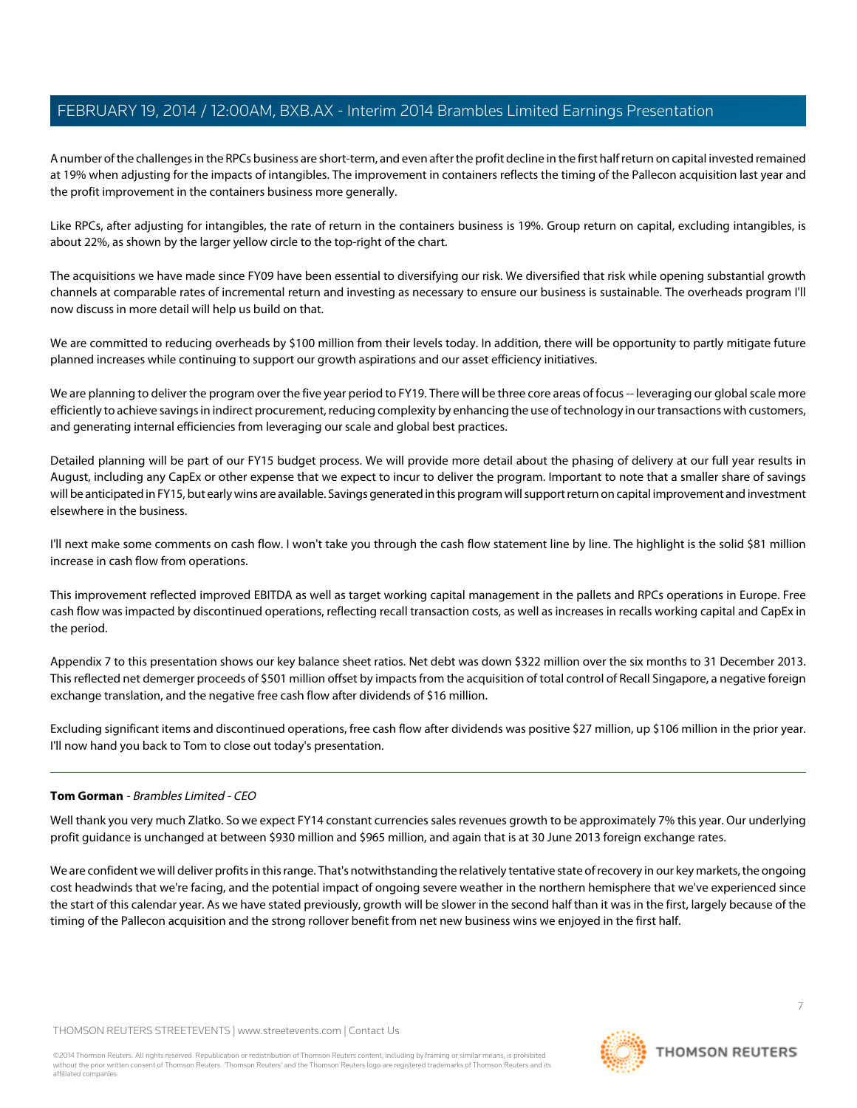A number of the challenges in the RPCs business are short-term, and even after the profit decline in the first half return on capital invested remained at 19% when adjusting for the impacts of intangibles. The improvement in containers reflects the timing of the Pallecon acquisition last year and the profit improvement in the containers business more generally.

Like RPCs, after adjusting for intangibles, the rate of return in the containers business is 19%. Group return on capital, excluding intangibles, is about 22%, as shown by the larger yellow circle to the top-right of the chart.

The acquisitions we have made since FY09 have been essential to diversifying our risk. We diversified that risk while opening substantial growth channels at comparable rates of incremental return and investing as necessary to ensure our business is sustainable. The overheads program I'll now discuss in more detail will help us build on that.

We are committed to reducing overheads by \$100 million from their levels today. In addition, there will be opportunity to partly mitigate future planned increases while continuing to support our growth aspirations and our asset efficiency initiatives.

We are planning to deliver the program over the five year period to FY19. There will be three core areas of focus -- leveraging our global scale more efficiently to achieve savings in indirect procurement, reducing complexity by enhancing the use of technology in our transactions with customers, and generating internal efficiencies from leveraging our scale and global best practices.

Detailed planning will be part of our FY15 budget process. We will provide more detail about the phasing of delivery at our full year results in August, including any CapEx or other expense that we expect to incur to deliver the program. Important to note that a smaller share of savings will be anticipated in FY15, but early wins are available. Savings generated in this program will support return on capital improvement and investment elsewhere in the business.

I'll next make some comments on cash flow. I won't take you through the cash flow statement line by line. The highlight is the solid \$81 million increase in cash flow from operations.

This improvement reflected improved EBITDA as well as target working capital management in the pallets and RPCs operations in Europe. Free cash flow was impacted by discontinued operations, reflecting recall transaction costs, as well as increases in recalls working capital and CapEx in the period.

Appendix 7 to this presentation shows our key balance sheet ratios. Net debt was down \$322 million over the six months to 31 December 2013. This reflected net demerger proceeds of \$501 million offset by impacts from the acquisition of total control of Recall Singapore, a negative foreign exchange translation, and the negative free cash flow after dividends of \$16 million.

Excluding significant items and discontinued operations, free cash flow after dividends was positive \$27 million, up \$106 million in the prior year. I'll now hand you back to Tom to close out today's presentation.

#### **Tom Gorman** - Brambles Limited - CEO

Well thank you very much Zlatko. So we expect FY14 constant currencies sales revenues growth to be approximately 7% this year. Our underlying profit guidance is unchanged at between \$930 million and \$965 million, and again that is at 30 June 2013 foreign exchange rates.

We are confident we will deliver profits in this range. That's notwithstanding the relatively tentative state of recovery in our key markets, the ongoing cost headwinds that we're facing, and the potential impact of ongoing severe weather in the northern hemisphere that we've experienced since the start of this calendar year. As we have stated previously, growth will be slower in the second half than it was in the first, largely because of the timing of the Pallecon acquisition and the strong rollover benefit from net new business wins we enjoyed in the first half.

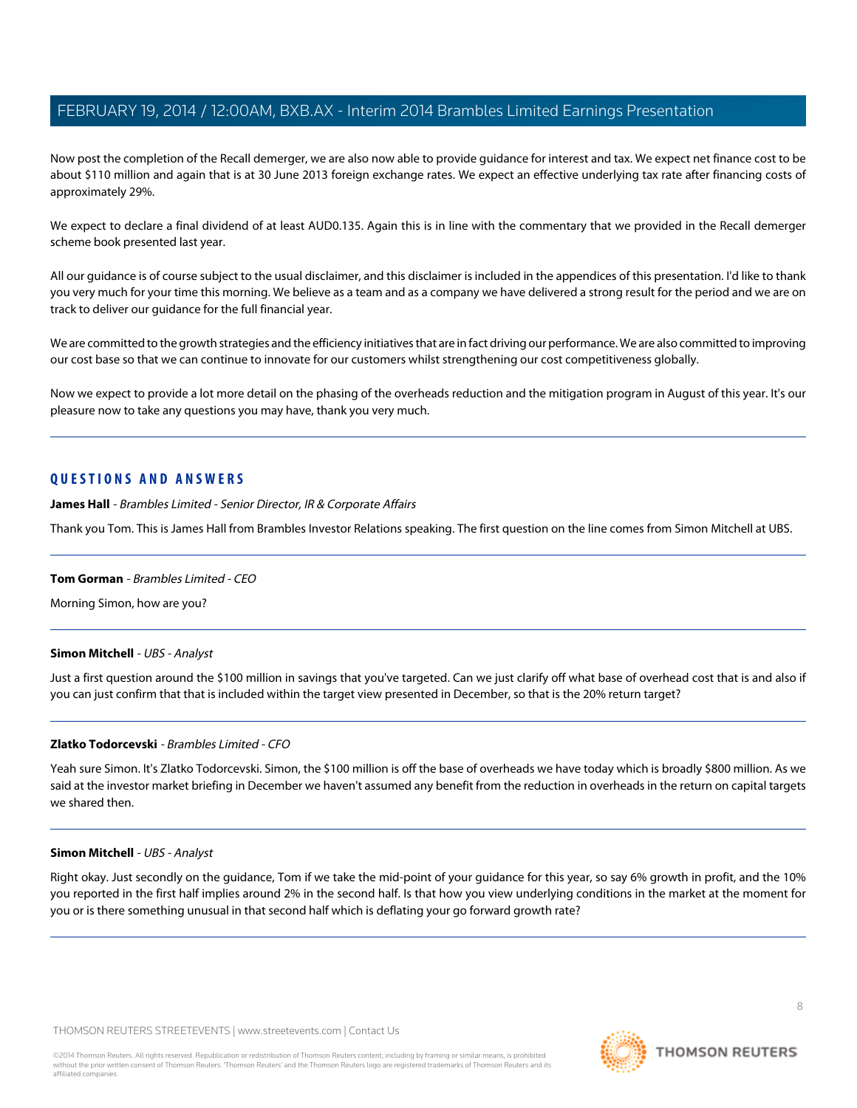Now post the completion of the Recall demerger, we are also now able to provide guidance for interest and tax. We expect net finance cost to be about \$110 million and again that is at 30 June 2013 foreign exchange rates. We expect an effective underlying tax rate after financing costs of approximately 29%.

We expect to declare a final dividend of at least AUD0.135. Again this is in line with the commentary that we provided in the Recall demerger scheme book presented last year.

All our guidance is of course subject to the usual disclaimer, and this disclaimer is included in the appendices of this presentation. I'd like to thank you very much for your time this morning. We believe as a team and as a company we have delivered a strong result for the period and we are on track to deliver our guidance for the full financial year.

We are committed to the growth strategies and the efficiency initiatives that are in fact driving our performance. We are also committed to improving our cost base so that we can continue to innovate for our customers whilst strengthening our cost competitiveness globally.

Now we expect to provide a lot more detail on the phasing of the overheads reduction and the mitigation program in August of this year. It's our pleasure now to take any questions you may have, thank you very much.

## <span id="page-7-0"></span>**QUESTIONS AND ANSWERS**

**James Hall** - Brambles Limited - Senior Director, IR & Corporate Affairs

Thank you Tom. This is James Hall from Brambles Investor Relations speaking. The first question on the line comes from Simon Mitchell at UBS.

#### <span id="page-7-1"></span>**Tom Gorman** - Brambles Limited - CEO

Morning Simon, how are you?

#### **Simon Mitchell** - UBS - Analyst

Just a first question around the \$100 million in savings that you've targeted. Can we just clarify off what base of overhead cost that is and also if you can just confirm that that is included within the target view presented in December, so that is the 20% return target?

#### **Zlatko Todorcevski** - Brambles Limited - CFO

Yeah sure Simon. It's Zlatko Todorcevski. Simon, the \$100 million is off the base of overheads we have today which is broadly \$800 million. As we said at the investor market briefing in December we haven't assumed any benefit from the reduction in overheads in the return on capital targets we shared then.

#### **Simon Mitchell** - UBS - Analyst

Right okay. Just secondly on the guidance, Tom if we take the mid-point of your guidance for this year, so say 6% growth in profit, and the 10% you reported in the first half implies around 2% in the second half. Is that how you view underlying conditions in the market at the moment for you or is there something unusual in that second half which is deflating your go forward growth rate?

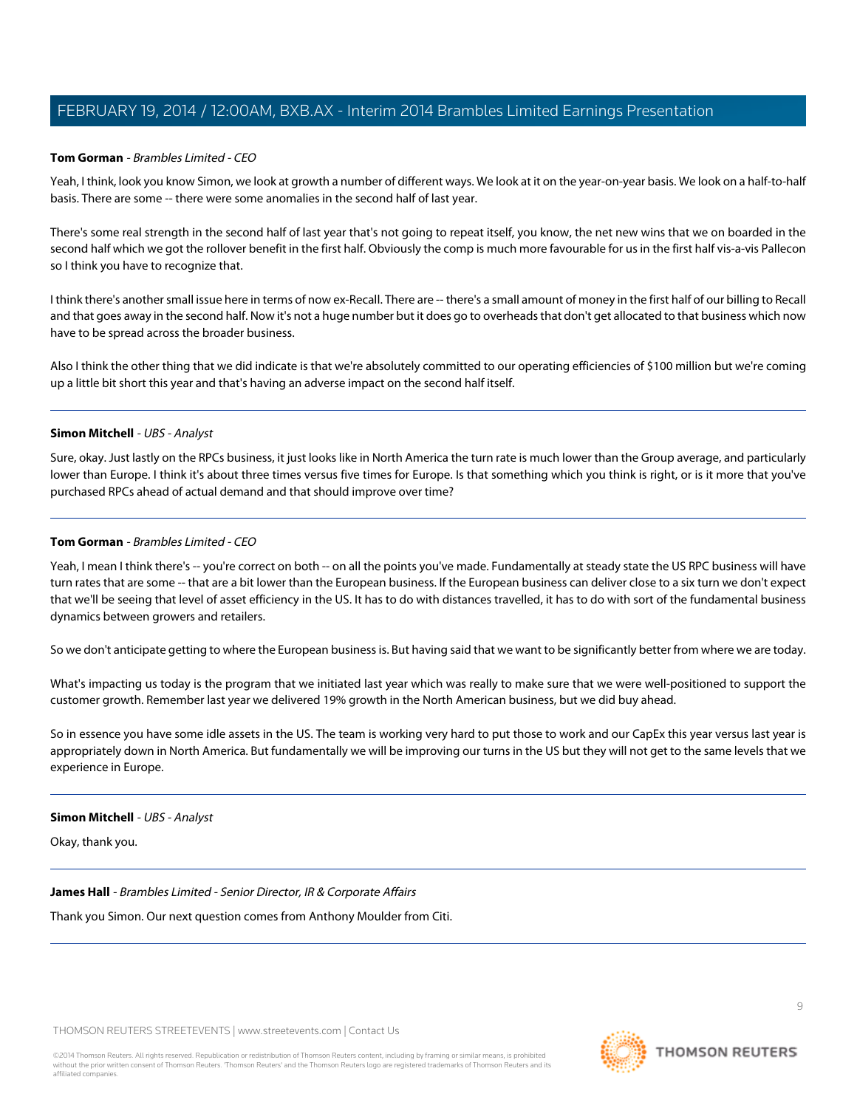#### **Tom Gorman** - Brambles Limited - CEO

Yeah, I think, look you know Simon, we look at growth a number of different ways. We look at it on the year-on-year basis. We look on a half-to-half basis. There are some -- there were some anomalies in the second half of last year.

There's some real strength in the second half of last year that's not going to repeat itself, you know, the net new wins that we on boarded in the second half which we got the rollover benefit in the first half. Obviously the comp is much more favourable for us in the first half vis-a-vis Pallecon so I think you have to recognize that.

I think there's another small issue here in terms of now ex-Recall. There are -- there's a small amount of money in the first half of our billing to Recall and that goes away in the second half. Now it's not a huge number but it does go to overheads that don't get allocated to that business which now have to be spread across the broader business.

Also I think the other thing that we did indicate is that we're absolutely committed to our operating efficiencies of \$100 million but we're coming up a little bit short this year and that's having an adverse impact on the second half itself.

#### **Simon Mitchell** - UBS - Analyst

Sure, okay. Just lastly on the RPCs business, it just looks like in North America the turn rate is much lower than the Group average, and particularly lower than Europe. I think it's about three times versus five times for Europe. Is that something which you think is right, or is it more that you've purchased RPCs ahead of actual demand and that should improve over time?

#### **Tom Gorman** - Brambles Limited - CEO

Yeah, I mean I think there's -- you're correct on both -- on all the points you've made. Fundamentally at steady state the US RPC business will have turn rates that are some -- that are a bit lower than the European business. If the European business can deliver close to a six turn we don't expect that we'll be seeing that level of asset efficiency in the US. It has to do with distances travelled, it has to do with sort of the fundamental business dynamics between growers and retailers.

So we don't anticipate getting to where the European business is. But having said that we want to be significantly better from where we are today.

What's impacting us today is the program that we initiated last year which was really to make sure that we were well-positioned to support the customer growth. Remember last year we delivered 19% growth in the North American business, but we did buy ahead.

So in essence you have some idle assets in the US. The team is working very hard to put those to work and our CapEx this year versus last year is appropriately down in North America. But fundamentally we will be improving our turns in the US but they will not get to the same levels that we experience in Europe.

#### **Simon Mitchell** - UBS - Analyst

Okay, thank you.

#### **James Hall** - Brambles Limited - Senior Director, IR & Corporate Affairs

Thank you Simon. Our next question comes from Anthony Moulder from Citi.

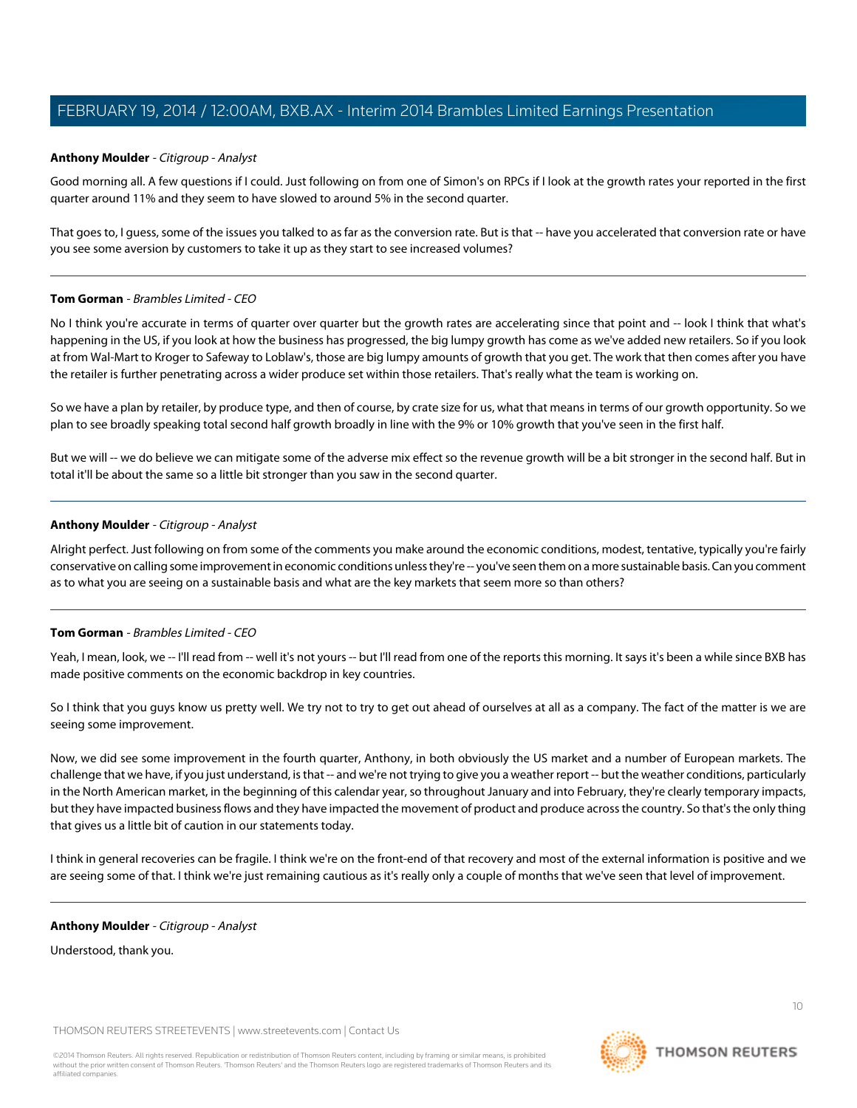#### <span id="page-9-0"></span>**Anthony Moulder** - Citigroup - Analyst

Good morning all. A few questions if I could. Just following on from one of Simon's on RPCs if I look at the growth rates your reported in the first quarter around 11% and they seem to have slowed to around 5% in the second quarter.

That goes to, I guess, some of the issues you talked to as far as the conversion rate. But is that -- have you accelerated that conversion rate or have you see some aversion by customers to take it up as they start to see increased volumes?

#### **Tom Gorman** - Brambles Limited - CEO

No I think you're accurate in terms of quarter over quarter but the growth rates are accelerating since that point and -- look I think that what's happening in the US, if you look at how the business has progressed, the big lumpy growth has come as we've added new retailers. So if you look at from Wal-Mart to Kroger to Safeway to Loblaw's, those are big lumpy amounts of growth that you get. The work that then comes after you have the retailer is further penetrating across a wider produce set within those retailers. That's really what the team is working on.

So we have a plan by retailer, by produce type, and then of course, by crate size for us, what that means in terms of our growth opportunity. So we plan to see broadly speaking total second half growth broadly in line with the 9% or 10% growth that you've seen in the first half.

But we will -- we do believe we can mitigate some of the adverse mix effect so the revenue growth will be a bit stronger in the second half. But in total it'll be about the same so a little bit stronger than you saw in the second quarter.

#### **Anthony Moulder** - Citigroup - Analyst

Alright perfect. Just following on from some of the comments you make around the economic conditions, modest, tentative, typically you're fairly conservative on calling some improvement in economic conditions unless they're -- you've seen them on a more sustainable basis. Can you comment as to what you are seeing on a sustainable basis and what are the key markets that seem more so than others?

#### **Tom Gorman** - Brambles Limited - CEO

Yeah, I mean, look, we -- I'll read from -- well it's not yours -- but I'll read from one of the reports this morning. It says it's been a while since BXB has made positive comments on the economic backdrop in key countries.

So I think that you guys know us pretty well. We try not to try to get out ahead of ourselves at all as a company. The fact of the matter is we are seeing some improvement.

Now, we did see some improvement in the fourth quarter, Anthony, in both obviously the US market and a number of European markets. The challenge that we have, if you just understand, is that -- and we're not trying to give you a weather report -- but the weather conditions, particularly in the North American market, in the beginning of this calendar year, so throughout January and into February, they're clearly temporary impacts, but they have impacted business flows and they have impacted the movement of product and produce across the country. So that's the only thing that gives us a little bit of caution in our statements today.

I think in general recoveries can be fragile. I think we're on the front-end of that recovery and most of the external information is positive and we are seeing some of that. I think we're just remaining cautious as it's really only a couple of months that we've seen that level of improvement.

#### **Anthony Moulder** - Citigroup - Analyst

Understood, thank you.

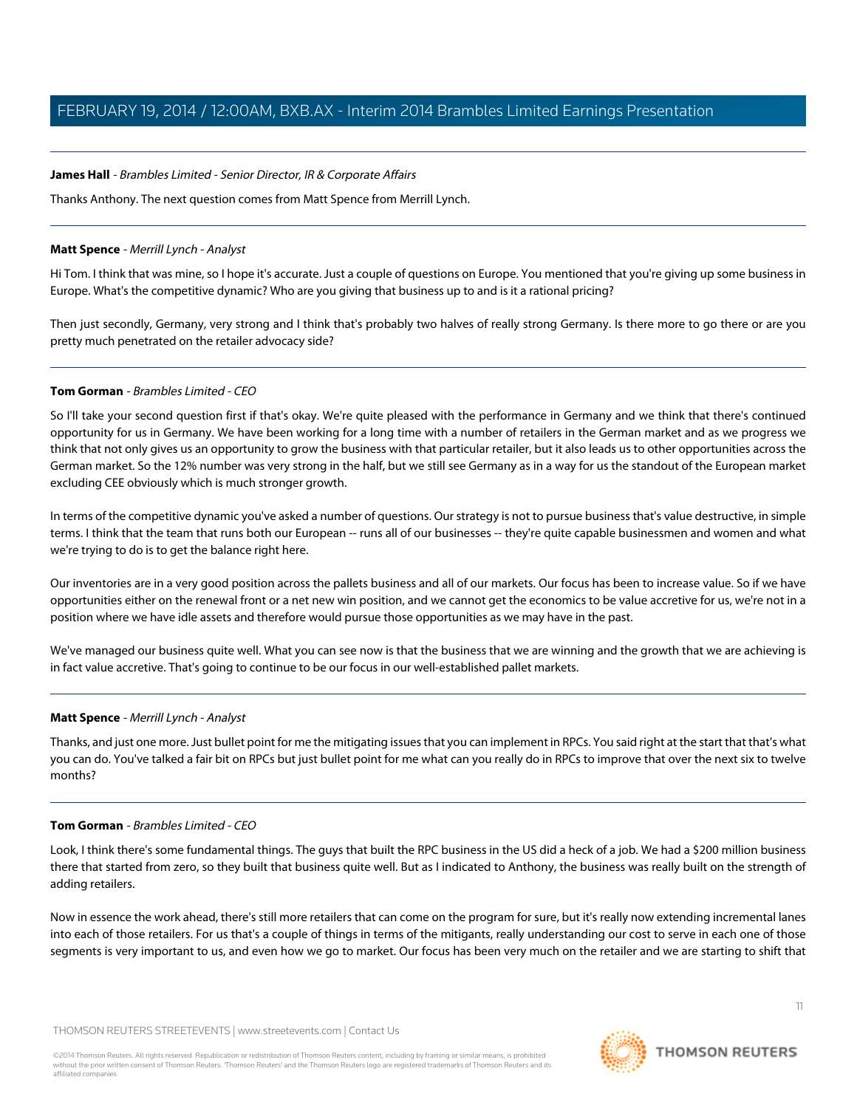#### **James Hall** - Brambles Limited - Senior Director, IR & Corporate Affairs

Thanks Anthony. The next question comes from Matt Spence from Merrill Lynch.

#### <span id="page-10-0"></span>**Matt Spence** - Merrill Lynch - Analyst

Hi Tom. I think that was mine, so I hope it's accurate. Just a couple of questions on Europe. You mentioned that you're giving up some business in Europe. What's the competitive dynamic? Who are you giving that business up to and is it a rational pricing?

Then just secondly, Germany, very strong and I think that's probably two halves of really strong Germany. Is there more to go there or are you pretty much penetrated on the retailer advocacy side?

#### **Tom Gorman** - Brambles Limited - CEO

So I'll take your second question first if that's okay. We're quite pleased with the performance in Germany and we think that there's continued opportunity for us in Germany. We have been working for a long time with a number of retailers in the German market and as we progress we think that not only gives us an opportunity to grow the business with that particular retailer, but it also leads us to other opportunities across the German market. So the 12% number was very strong in the half, but we still see Germany as in a way for us the standout of the European market excluding CEE obviously which is much stronger growth.

In terms of the competitive dynamic you've asked a number of questions. Our strategy is not to pursue business that's value destructive, in simple terms. I think that the team that runs both our European -- runs all of our businesses -- they're quite capable businessmen and women and what we're trying to do is to get the balance right here.

Our inventories are in a very good position across the pallets business and all of our markets. Our focus has been to increase value. So if we have opportunities either on the renewal front or a net new win position, and we cannot get the economics to be value accretive for us, we're not in a position where we have idle assets and therefore would pursue those opportunities as we may have in the past.

We've managed our business quite well. What you can see now is that the business that we are winning and the growth that we are achieving is in fact value accretive. That's going to continue to be our focus in our well-established pallet markets.

#### **Matt Spence** - Merrill Lynch - Analyst

Thanks, and just one more. Just bullet point for me the mitigating issues that you can implement in RPCs. You said right at the start that that's what you can do. You've talked a fair bit on RPCs but just bullet point for me what can you really do in RPCs to improve that over the next six to twelve months?

#### **Tom Gorman** - Brambles Limited - CEO

Look, I think there's some fundamental things. The guys that built the RPC business in the US did a heck of a job. We had a \$200 million business there that started from zero, so they built that business quite well. But as I indicated to Anthony, the business was really built on the strength of adding retailers.

Now in essence the work ahead, there's still more retailers that can come on the program for sure, but it's really now extending incremental lanes into each of those retailers. For us that's a couple of things in terms of the mitigants, really understanding our cost to serve in each one of those segments is very important to us, and even how we go to market. Our focus has been very much on the retailer and we are starting to shift that

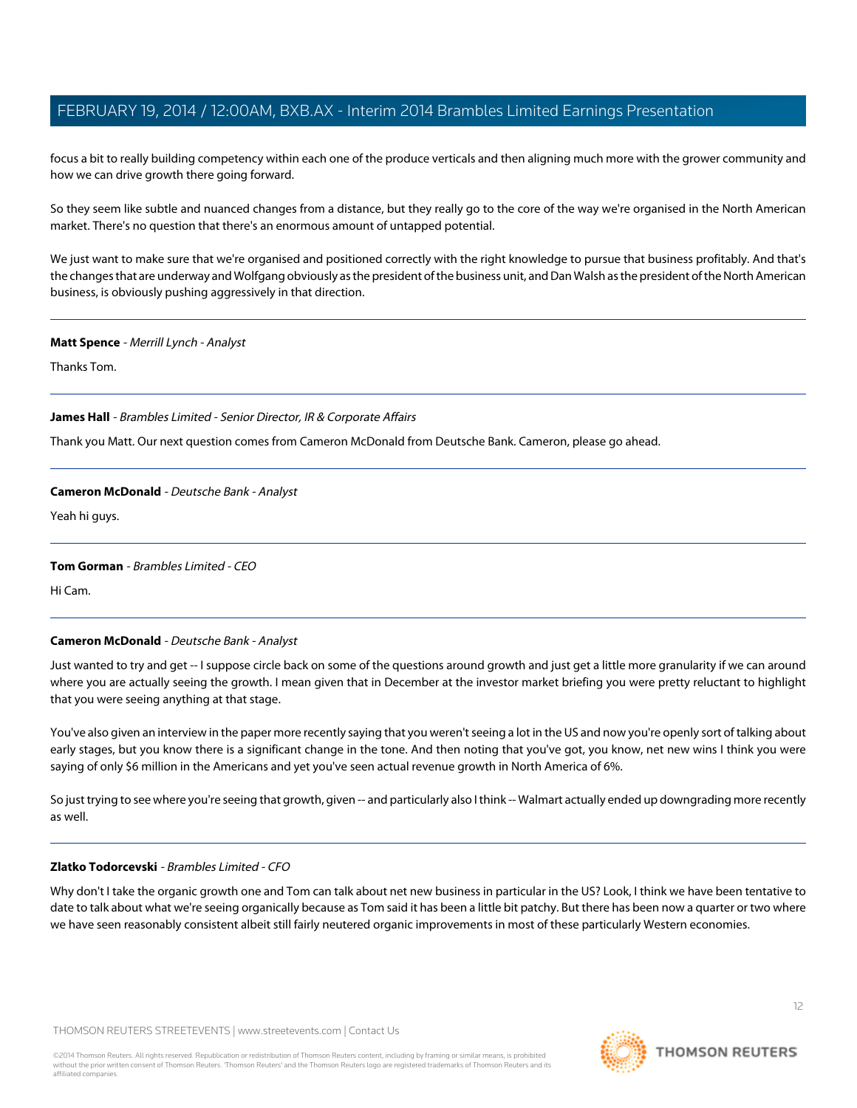focus a bit to really building competency within each one of the produce verticals and then aligning much more with the grower community and how we can drive growth there going forward.

So they seem like subtle and nuanced changes from a distance, but they really go to the core of the way we're organised in the North American market. There's no question that there's an enormous amount of untapped potential.

We just want to make sure that we're organised and positioned correctly with the right knowledge to pursue that business profitably. And that's the changes that are underway and Wolfgang obviously as the president of the business unit, and Dan Walsh as the president of the North American business, is obviously pushing aggressively in that direction.

#### **Matt Spence** - Merrill Lynch - Analyst

Thanks Tom.

#### **James Hall** - Brambles Limited - Senior Director, IR & Corporate Affairs

<span id="page-11-0"></span>Thank you Matt. Our next question comes from Cameron McDonald from Deutsche Bank. Cameron, please go ahead.

#### **Cameron McDonald** - Deutsche Bank - Analyst

Yeah hi guys.

#### **Tom Gorman** - Brambles Limited - CEO

Hi Cam.

#### **Cameron McDonald** - Deutsche Bank - Analyst

Just wanted to try and get -- I suppose circle back on some of the questions around growth and just get a little more granularity if we can around where you are actually seeing the growth. I mean given that in December at the investor market briefing you were pretty reluctant to highlight that you were seeing anything at that stage.

You've also given an interview in the paper more recently saying that you weren't seeing a lot in the US and now you're openly sort of talking about early stages, but you know there is a significant change in the tone. And then noting that you've got, you know, net new wins I think you were saying of only \$6 million in the Americans and yet you've seen actual revenue growth in North America of 6%.

So just trying to see where you're seeing that growth, given -- and particularly also I think -- Walmart actually ended up downgrading more recently as well.

#### **Zlatko Todorcevski** - Brambles Limited - CFO

Why don't I take the organic growth one and Tom can talk about net new business in particular in the US? Look, I think we have been tentative to date to talk about what we're seeing organically because as Tom said it has been a little bit patchy. But there has been now a quarter or two where we have seen reasonably consistent albeit still fairly neutered organic improvements in most of these particularly Western economies.

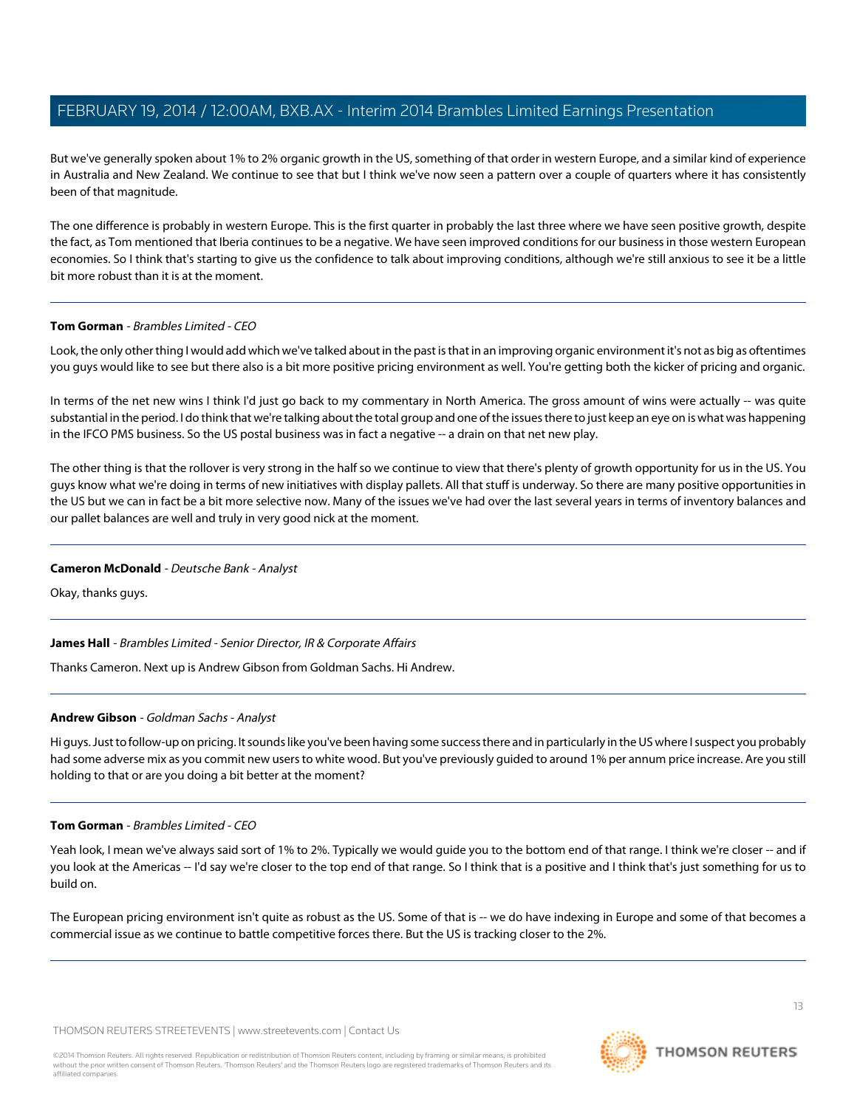But we've generally spoken about 1% to 2% organic growth in the US, something of that order in western Europe, and a similar kind of experience in Australia and New Zealand. We continue to see that but I think we've now seen a pattern over a couple of quarters where it has consistently been of that magnitude.

The one difference is probably in western Europe. This is the first quarter in probably the last three where we have seen positive growth, despite the fact, as Tom mentioned that Iberia continues to be a negative. We have seen improved conditions for our business in those western European economies. So I think that's starting to give us the confidence to talk about improving conditions, although we're still anxious to see it be a little bit more robust than it is at the moment.

#### **Tom Gorman** - Brambles Limited - CEO

Look, the only other thing I would add which we've talked about in the past is that in an improving organic environment it's not as big as oftentimes you guys would like to see but there also is a bit more positive pricing environment as well. You're getting both the kicker of pricing and organic.

In terms of the net new wins I think I'd just go back to my commentary in North America. The gross amount of wins were actually -- was quite substantial in the period. I do think that we're talking about the total group and one of the issues there to just keep an eye on is what was happening in the IFCO PMS business. So the US postal business was in fact a negative -- a drain on that net new play.

The other thing is that the rollover is very strong in the half so we continue to view that there's plenty of growth opportunity for us in the US. You guys know what we're doing in terms of new initiatives with display pallets. All that stuff is underway. So there are many positive opportunities in the US but we can in fact be a bit more selective now. Many of the issues we've had over the last several years in terms of inventory balances and our pallet balances are well and truly in very good nick at the moment.

#### **Cameron McDonald** - Deutsche Bank - Analyst

Okay, thanks guys.

<span id="page-12-0"></span>**James Hall** - Brambles Limited - Senior Director, IR & Corporate Affairs

Thanks Cameron. Next up is Andrew Gibson from Goldman Sachs. Hi Andrew.

#### **Andrew Gibson** - Goldman Sachs - Analyst

Hi guys. Just to follow-up on pricing. It sounds like you've been having some success there and in particularly in the US where I suspect you probably had some adverse mix as you commit new users to white wood. But you've previously guided to around 1% per annum price increase. Are you still holding to that or are you doing a bit better at the moment?

#### **Tom Gorman** - Brambles Limited - CEO

Yeah look, I mean we've always said sort of 1% to 2%. Typically we would guide you to the bottom end of that range. I think we're closer -- and if you look at the Americas -- I'd say we're closer to the top end of that range. So I think that is a positive and I think that's just something for us to build on.

The European pricing environment isn't quite as robust as the US. Some of that is -- we do have indexing in Europe and some of that becomes a commercial issue as we continue to battle competitive forces there. But the US is tracking closer to the 2%.



13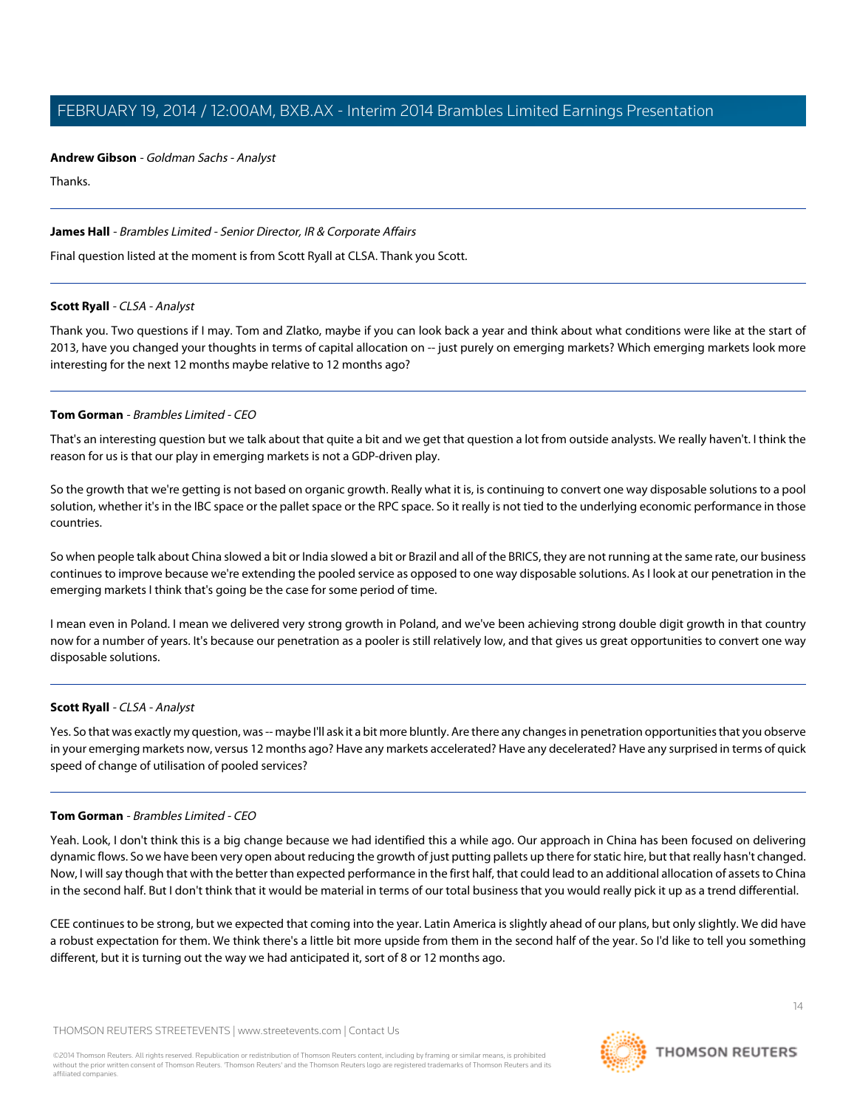#### **Andrew Gibson** - Goldman Sachs - Analyst

Thanks.

#### **James Hall** - Brambles Limited - Senior Director, IR & Corporate Affairs

<span id="page-13-0"></span>Final question listed at the moment is from Scott Ryall at CLSA. Thank you Scott.

#### **Scott Ryall** - CLSA - Analyst

Thank you. Two questions if I may. Tom and Zlatko, maybe if you can look back a year and think about what conditions were like at the start of 2013, have you changed your thoughts in terms of capital allocation on -- just purely on emerging markets? Which emerging markets look more interesting for the next 12 months maybe relative to 12 months ago?

#### **Tom Gorman** - Brambles Limited - CEO

That's an interesting question but we talk about that quite a bit and we get that question a lot from outside analysts. We really haven't. I think the reason for us is that our play in emerging markets is not a GDP-driven play.

So the growth that we're getting is not based on organic growth. Really what it is, is continuing to convert one way disposable solutions to a pool solution, whether it's in the IBC space or the pallet space or the RPC space. So it really is not tied to the underlying economic performance in those countries.

So when people talk about China slowed a bit or India slowed a bit or Brazil and all of the BRICS, they are not running at the same rate, our business continues to improve because we're extending the pooled service as opposed to one way disposable solutions. As I look at our penetration in the emerging markets I think that's going be the case for some period of time.

I mean even in Poland. I mean we delivered very strong growth in Poland, and we've been achieving strong double digit growth in that country now for a number of years. It's because our penetration as a pooler is still relatively low, and that gives us great opportunities to convert one way disposable solutions.

#### **Scott Ryall** - CLSA - Analyst

Yes. So that was exactly my question, was -- maybe I'll ask it a bit more bluntly. Are there any changes in penetration opportunities that you observe in your emerging markets now, versus 12 months ago? Have any markets accelerated? Have any decelerated? Have any surprised in terms of quick speed of change of utilisation of pooled services?

#### **Tom Gorman** - Brambles Limited - CEO

Yeah. Look, I don't think this is a big change because we had identified this a while ago. Our approach in China has been focused on delivering dynamic flows. So we have been very open about reducing the growth of just putting pallets up there for static hire, but that really hasn't changed. Now, I will say though that with the better than expected performance in the first half, that could lead to an additional allocation of assets to China in the second half. But I don't think that it would be material in terms of our total business that you would really pick it up as a trend differential.

CEE continues to be strong, but we expected that coming into the year. Latin America is slightly ahead of our plans, but only slightly. We did have a robust expectation for them. We think there's a little bit more upside from them in the second half of the year. So I'd like to tell you something different, but it is turning out the way we had anticipated it, sort of 8 or 12 months ago.



 $14$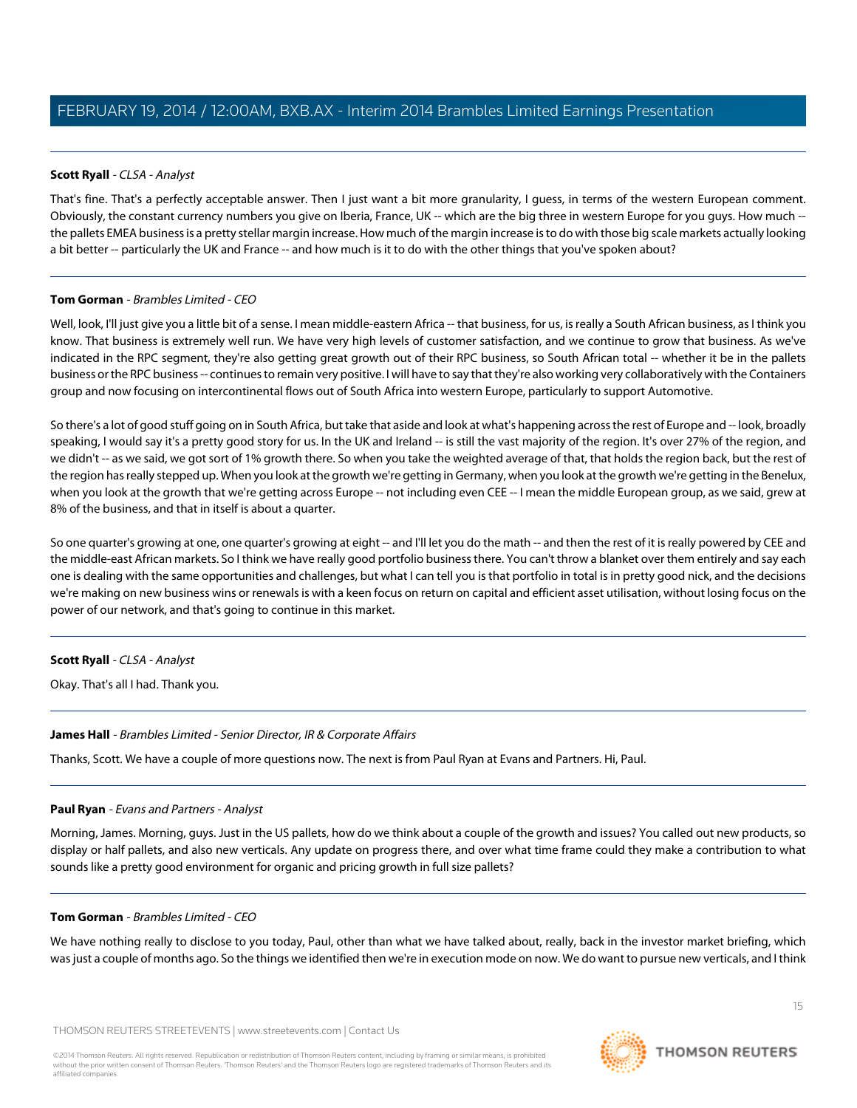### **Scott Ryall** - CLSA - Analyst

That's fine. That's a perfectly acceptable answer. Then I just want a bit more granularity, I guess, in terms of the western European comment. Obviously, the constant currency numbers you give on Iberia, France, UK -- which are the big three in western Europe for you guys. How much - the pallets EMEA business is a pretty stellar margin increase. How much of the margin increase is to do with those big scale markets actually looking a bit better -- particularly the UK and France -- and how much is it to do with the other things that you've spoken about?

#### **Tom Gorman** - Brambles Limited - CEO

Well, look, I'll just give you a little bit of a sense. I mean middle-eastern Africa -- that business, for us, is really a South African business, as I think you know. That business is extremely well run. We have very high levels of customer satisfaction, and we continue to grow that business. As we've indicated in the RPC segment, they're also getting great growth out of their RPC business, so South African total -- whether it be in the pallets business or the RPC business -- continues to remain very positive. I will have to say that they're also working very collaboratively with the Containers group and now focusing on intercontinental flows out of South Africa into western Europe, particularly to support Automotive.

So there's a lot of good stuff going on in South Africa, but take that aside and look at what's happening across the rest of Europe and -- look, broadly speaking, I would say it's a pretty good story for us. In the UK and Ireland -- is still the vast majority of the region. It's over 27% of the region, and we didn't -- as we said, we got sort of 1% growth there. So when you take the weighted average of that, that holds the region back, but the rest of the region has really stepped up. When you look at the growth we're getting in Germany, when you look at the growth we're getting in the Benelux, when you look at the growth that we're getting across Europe -- not including even CEE -- I mean the middle European group, as we said, grew at 8% of the business, and that in itself is about a quarter.

So one quarter's growing at one, one quarter's growing at eight -- and I'll let you do the math -- and then the rest of it is really powered by CEE and the middle-east African markets. So I think we have really good portfolio business there. You can't throw a blanket over them entirely and say each one is dealing with the same opportunities and challenges, but what I can tell you is that portfolio in total is in pretty good nick, and the decisions we're making on new business wins or renewals is with a keen focus on return on capital and efficient asset utilisation, without losing focus on the power of our network, and that's going to continue in this market.

#### **Scott Ryall** - CLSA - Analyst

Okay. That's all I had. Thank you.

#### <span id="page-14-0"></span>**James Hall** - Brambles Limited - Senior Director, IR & Corporate Affairs

Thanks, Scott. We have a couple of more questions now. The next is from Paul Ryan at Evans and Partners. Hi, Paul.

#### **Paul Ryan** - Evans and Partners - Analyst

Morning, James. Morning, guys. Just in the US pallets, how do we think about a couple of the growth and issues? You called out new products, so display or half pallets, and also new verticals. Any update on progress there, and over what time frame could they make a contribution to what sounds like a pretty good environment for organic and pricing growth in full size pallets?

#### **Tom Gorman** - Brambles Limited - CEO

We have nothing really to disclose to you today, Paul, other than what we have talked about, really, back in the investor market briefing, which was just a couple of months ago. So the things we identified then we're in execution mode on now. We do want to pursue new verticals, and I think

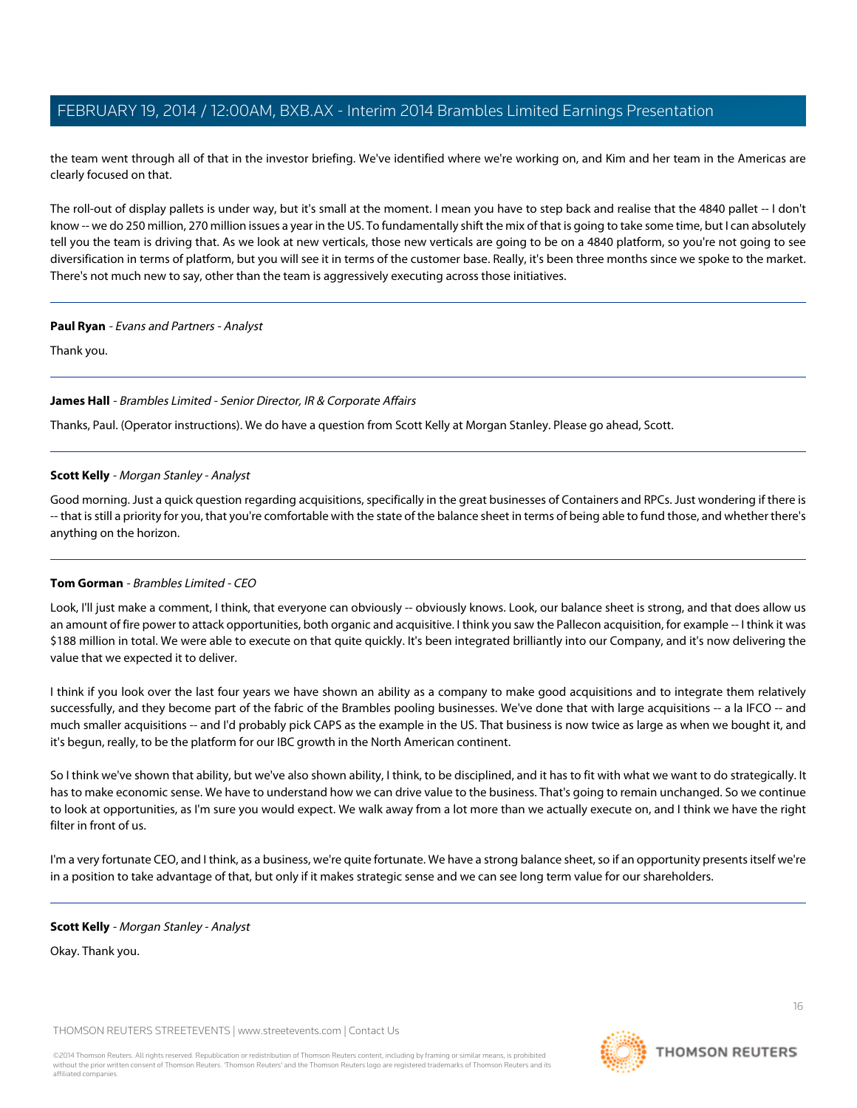the team went through all of that in the investor briefing. We've identified where we're working on, and Kim and her team in the Americas are clearly focused on that.

The roll-out of display pallets is under way, but it's small at the moment. I mean you have to step back and realise that the 4840 pallet -- I don't know -- we do 250 million, 270 million issues a year in the US. To fundamentally shift the mix of that is going to take some time, but I can absolutely tell you the team is driving that. As we look at new verticals, those new verticals are going to be on a 4840 platform, so you're not going to see diversification in terms of platform, but you will see it in terms of the customer base. Really, it's been three months since we spoke to the market. There's not much new to say, other than the team is aggressively executing across those initiatives.

#### **Paul Ryan** - Evans and Partners - Analyst

Thank you.

#### **James Hall** - Brambles Limited - Senior Director, IR & Corporate Affairs

<span id="page-15-0"></span>Thanks, Paul. (Operator instructions). We do have a question from Scott Kelly at Morgan Stanley. Please go ahead, Scott.

#### **Scott Kelly** - Morgan Stanley - Analyst

Good morning. Just a quick question regarding acquisitions, specifically in the great businesses of Containers and RPCs. Just wondering if there is -- that is still a priority for you, that you're comfortable with the state of the balance sheet in terms of being able to fund those, and whether there's anything on the horizon.

#### **Tom Gorman** - Brambles Limited - CEO

Look, I'll just make a comment, I think, that everyone can obviously -- obviously knows. Look, our balance sheet is strong, and that does allow us an amount of fire power to attack opportunities, both organic and acquisitive. I think you saw the Pallecon acquisition, for example -- I think it was \$188 million in total. We were able to execute on that quite quickly. It's been integrated brilliantly into our Company, and it's now delivering the value that we expected it to deliver.

I think if you look over the last four years we have shown an ability as a company to make good acquisitions and to integrate them relatively successfully, and they become part of the fabric of the Brambles pooling businesses. We've done that with large acquisitions -- a la IFCO -- and much smaller acquisitions -- and I'd probably pick CAPS as the example in the US. That business is now twice as large as when we bought it, and it's begun, really, to be the platform for our IBC growth in the North American continent.

So I think we've shown that ability, but we've also shown ability, I think, to be disciplined, and it has to fit with what we want to do strategically. It has to make economic sense. We have to understand how we can drive value to the business. That's going to remain unchanged. So we continue to look at opportunities, as I'm sure you would expect. We walk away from a lot more than we actually execute on, and I think we have the right filter in front of us.

I'm a very fortunate CEO, and I think, as a business, we're quite fortunate. We have a strong balance sheet, so if an opportunity presents itself we're in a position to take advantage of that, but only if it makes strategic sense and we can see long term value for our shareholders.

#### **Scott Kelly** - Morgan Stanley - Analyst

Okay. Thank you.

THOMSON REUTERS STREETEVENTS | [www.streetevents.com](http://www.streetevents.com) | [Contact Us](http://www010.streetevents.com/contact.asp)